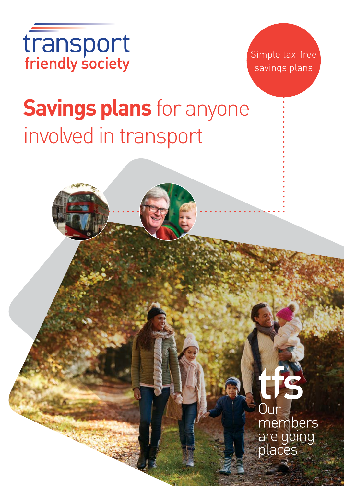



# **Savings plans** for anyone involved in transport

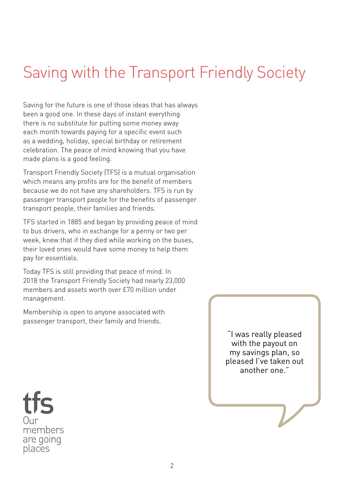# Saving with the Transport Friendly Society

Saving for the future is one of those ideas that has always been a good one. In these days of instant everything there is no substitute for putting some money away each month towards paying for a specific event such as a wedding, holiday, special birthday or retirement celebration. The peace of mind knowing that you have made plans is a good feeling.

Transport Friendly Society (TFS) is a mutual organisation which means any profits are for the benefit of members because we do not have any shareholders. TFS is run by passenger transport people for the benefits of passenger transport people, their families and friends.

TFS started in 1885 and began by providing peace of mind to bus drivers, who in exchange for a penny or two per week, knew that if they died while working on the buses, their loved ones would have some money to help them pay for essentials.

Today TFS is still providing that peace of mind. In 2018 the Transport Friendly Society had nearly 23,000 members and assets worth over £70 million under management.

Membership is open to anyone associated with passenger transport, their family and friends.

> "I was really pleased with the payout on my savings plan, so pleased I've taken out another one."

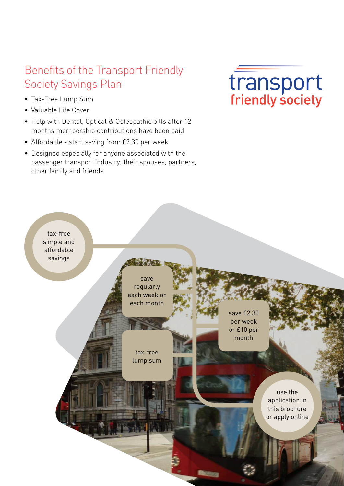# Benefits of the Transport Friendly Society Savings Plan

- Tax-Free Lump Sum
- Valuable Life Cover
- Help with Dental, Optical & Osteopathic bills after 12 months membership contributions have been paid
- Affordable start saving from £2.30 per week
- Designed especially for anyone associated with the passenger transport industry, their spouses, partners, other family and friends



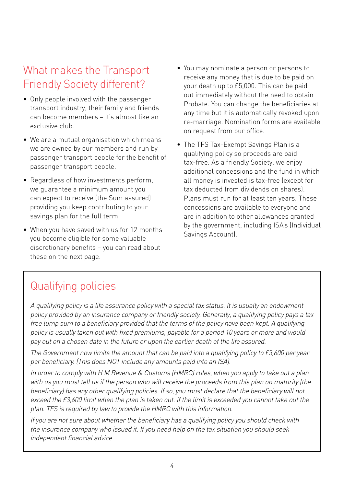# What makes the Transport Friendly Society different?

- Only people involved with the passenger transport industry, their family and friends can become members – it's almost like an exclusive club.
- We are a mutual organisation which means we are owned by our members and run by passenger transport people for the benefit of passenger transport people.
- Regardless of how investments perform, we guarantee a minimum amount you can expect to receive (the Sum assured) providing you keep contributing to your savings plan for the full term.
- When you have saved with us for 12 months you become eligible for some valuable discretionary benefits – you can read about these on the next page.
- You may nominate a person or persons to receive any money that is due to be paid on your death up to £5,000. This can be paid out immediately without the need to obtain Probate. You can change the beneficiaries at any time but it is automatically revoked upon re-marriage. Nomination forms are available on request from our office.
- The TFS Tax-Exempt Savings Plan is a qualifying policy so proceeds are paid tax-free. As a friendly Society, we enjoy additional concessions and the fund in which all money is invested is tax-free (except for tax deducted from dividends on shares). Plans must run for at least ten years. These concessions are available to everyone and are in addition to other allowances granted by the government, including ISA's (Individual Savings Account).

# Qualifying policies

A qualifying policy is a life assurance policy with a special tax status. It is usually an endowment policy provided by an insurance company or friendly society. Generally, a qualifying policy pays a tax free lump sum to a beneficiary provided that the terms of the policy have been kept. A qualifying policy is usually taken out with fixed premiums, payable for a period 10 years or more and would pay out on a chosen date in the future or upon the earlier death of the life assured.

The Government now limits the amount that can be paid into a qualifying policy to £3,600 per year per beneficiary. (This does NOT include any amounts paid into an ISA).

In order to comply with H M Revenue & Customs (HMRC) rules, when you apply to take out a plan with us you must tell us if the person who will receive the proceeds from this plan on maturity (the beneficiary) has any other qualifying policies. If so, you must declare that the beneficiary will not exceed the £3,600 limit when the plan is taken out. If the limit is exceeded you cannot take out the plan. TFS is required by law to provide the HMRC with this information.

If you are not sure about whether the beneficiary has a qualifying policy you should check with the insurance company who issued it. If you need help on the tax situation you should seek independent financial advice.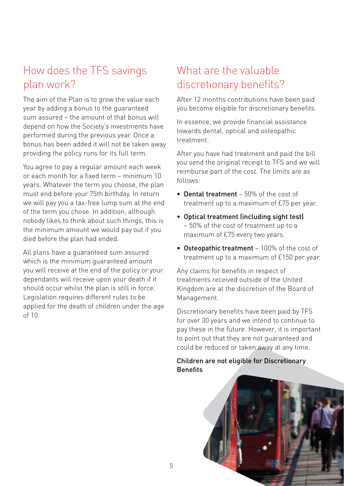# How does the TFS savings plan work?

The aim of the Plan is to grow the value each year by adding a bonus to the guaranteed sum assured – the amount of that bonus will depend on how the Society's investments have performed during the previous year. Once a bonus has been added it will not be taken away providing the policy runs for its full term.

You agree to pay a regular amount each week or each month for a fixed term – minimum 10 years. Whatever the term you choose, the plan must end before your 75th birthday. In return we will pay you a tax-free lump sum at the end of the term you chose. In addition, although nobody likes to think about such things, this is the minimum amount we would pay out if you died before the plan had ended.

All plans have a guaranteed sum assured which is the minimum guaranteed amount you will receive at the end of the policy or your dependants will receive upon your death if it should occur whilst the plan is still in force. Legislation requires different rules to be applied for the death of children under the age  $of 10$ .

# What are the valuable discretionary benefits?

After 12 months contributions have been paid you become eligible for discretionary benefits.

In essence, we provide financial assistance towards dental, optical and osteopathic treatment.

After you have had treatment and paid the bill you send the original receipt to TFS and we will reimburse part of the cost. The limits are as follows:

- Dental treatment 50% of the cost of treatment up to a maximum of £75 per year.
- Optical treatment (including sight test) – 50% of the cost of treatment up to a maximum of £75 every two years.
- Osteopathic treatment 100% of the cost of treatment up to a maximum of £150 per year.

Any claims for benefits in respect of treatments received outside of the United Kingdom are at the discretion of the Board of Management.

Discretionary benefits have been paid by TFS for over 30 years and we intend to continue to pay these in the future. However, it is important to point out that they are not guaranteed and could be reduced or taken away at any time.

#### Children are not eligible for Discretionary **Benefits**

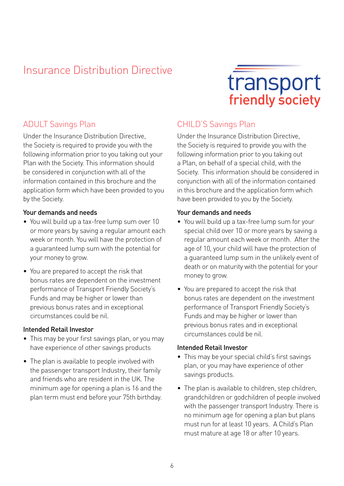# Insurance Distribution Directive

# transport

## ADULT Savings Plan

Under the Insurance Distribution Directive, the Society is required to provide you with the following information prior to you taking out your Plan with the Society. This information should be considered in conjunction with all of the information contained in this brochure and the application form which have been provided to you by the Society.

#### Your demands and needs

- You will build up a tax-free lump sum over 10 or more years by saving a regular amount each week or month. You will have the protection of a guaranteed lump sum with the potential for your money to grow.
- You are prepared to accept the risk that bonus rates are dependent on the investment performance of Transport Friendly Society's Funds and may be higher or lower than previous bonus rates and in exceptional circumstances could be nil.

#### Intended Retail Investor

- This may be your first savings plan, or you may have experience of other savings products
- The plan is available to people involved with the passenger transport Industry, their family and friends who are resident in the UK. The minimum age for opening a plan is 16 and the plan term must end before your 75th birthday.

## CHILD'S Savings Plan

Under the Insurance Distribution Directive, the Society is required to provide you with the following information prior to you taking out a Plan, on behalf of a special child, with the Society. This information should be considered in conjunction with all of the information contained in this brochure and the application form which have been provided to you by the Society.

#### Your demands and needs

- You will build up a tax-free lump sum for your special child over 10 or more years by saving a regular amount each week or month. After the age of 10, your child will have the protection of a guaranteed lump sum in the unlikely event of death or on maturity with the potential for your money to grow.
- You are prepared to accept the risk that bonus rates are dependent on the investment performance of Transport Friendly Society's Funds and may be higher or lower than previous bonus rates and in exceptional circumstances could be nil.

#### Intended Retail Investor

- This may be your special child's first savings plan, or you may have experience of other savings products.
- The plan is available to children, step children, grandchildren or godchildren of people involved with the passenger transport Industry. There is no minimum age for opening a plan but plans must run for at least 10 years. A Child's Plan must mature at age 18 or after 10 years.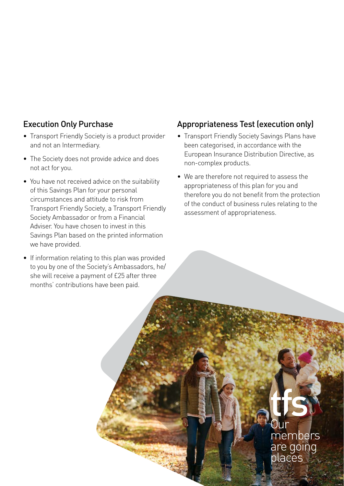## Execution Only Purchase

- Transport Friendly Society is a product provider and not an Intermediary.
- The Society does not provide advice and does not act for you.
- You have not received advice on the suitability of this Savings Plan for your personal circumstances and attitude to risk from Transport Friendly Society, a Transport Friendly Society Ambassador or from a Financial Adviser. You have chosen to invest in this Savings Plan based on the printed information we have provided.
- If information relating to this plan was provided to you by one of the Society's Ambassadors, he/ she will receive a payment of £25 after three months' contributions have been paid.

7

## Appropriateness Test (execution only)

- Transport Friendly Society Savings Plans have been categorised, in accordance with the European Insurance Distribution Directive, as non-complex products.
- We are therefore not required to assess the appropriateness of this plan for you and therefore you do not benefit from the protection of the conduct of business rules relating to the assessment of appropriateness.

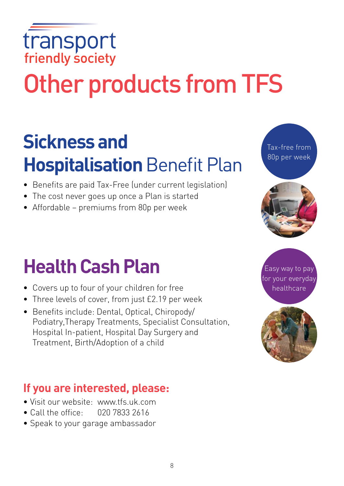# transport<br>friendly society

# Other products from TFS

# **Sickness and Hospitalisation** Benefit Plan

- Benefits are paid Tax-Free (under current legislation)
- The cost never goes up once a Plan is started
- Affordable premiums from 80p per week

# **Health Cash Plan**

- Covers up to four of your children for free
- Three levels of cover, from just £2.19 per week
- Benefits include: Dental, Optical, Chiropody/ Podiatry,Therapy Treatments, Specialist Consultation, Hospital In-patient, Hospital Day Surgery and Treatment, Birth/Adoption of a child

# **If you are interested, please:**

- Visit our website: www.tfs.uk.com
- Call the office:  $020\,7833\,2616$
- Speak to your garage ambassador

8





Tax-free from 80p per week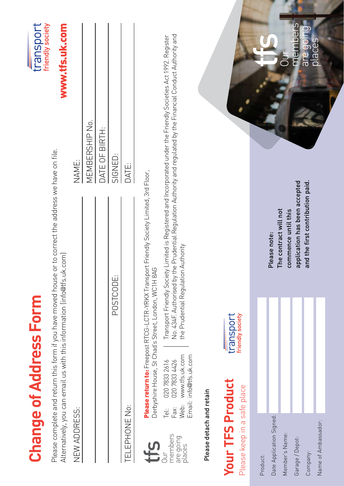|                                                       | <b>Change of Address Form</b>                                                                   |                                                                                                                                                                                    |                                                                                                                                                                                                                                       | transport                          |
|-------------------------------------------------------|-------------------------------------------------------------------------------------------------|------------------------------------------------------------------------------------------------------------------------------------------------------------------------------------|---------------------------------------------------------------------------------------------------------------------------------------------------------------------------------------------------------------------------------------|------------------------------------|
|                                                       |                                                                                                 | Please complete and return this form if you have moved house or to correct the address we have on file.<br>Alternatively, you can email us with this information (info@tfs.uk.com) |                                                                                                                                                                                                                                       | friendly society<br>www.tfs.uk.com |
| NEW ADDRESS:                                          |                                                                                                 |                                                                                                                                                                                    | NAME:                                                                                                                                                                                                                                 |                                    |
|                                                       |                                                                                                 |                                                                                                                                                                                    | MEMBERSHIP No.                                                                                                                                                                                                                        |                                    |
|                                                       |                                                                                                 |                                                                                                                                                                                    | DATE OF BIRTH:                                                                                                                                                                                                                        |                                    |
|                                                       |                                                                                                 | POSTCODE:                                                                                                                                                                          | SIGNED:                                                                                                                                                                                                                               |                                    |
| <b>TELLEPHONE No:</b>                                 |                                                                                                 |                                                                                                                                                                                    | DATE:                                                                                                                                                                                                                                 |                                    |
|                                                       |                                                                                                 | Please return to: Freepost RTCG-LCTR-YRKX Transport Friendly Society Limited, 3rd Floor,<br>Derbyshire House, St Chad's Street, London, WC1H 8AG                                   |                                                                                                                                                                                                                                       |                                    |
| members<br>are going<br>places<br>$\exists$           | Web: www.tfs.uk.com<br>Email: info@tfs.uk.com<br>020 7833 2616<br>020 7833 4426<br>Tel:<br>Fax: | the Prudential Regulation Authority                                                                                                                                                | No. 434F. Authorised by the Prudential Regulation Authority and regulated by the Financial Conduct Authority and<br>Transport Friendly Society Limited is Registered and Incorporated under the Friendly Societies Act 1992. Register |                                    |
| Please detach and retain                              |                                                                                                 |                                                                                                                                                                                    |                                                                                                                                                                                                                                       |                                    |
| <b>Your TFS Produc</b><br>Please keep in a safe place |                                                                                                 | friendly society<br>transport                                                                                                                                                      |                                                                                                                                                                                                                                       |                                    |
| Product:                                              |                                                                                                 |                                                                                                                                                                                    |                                                                                                                                                                                                                                       |                                    |
| Date Application Signed:                              |                                                                                                 | Please note:                                                                                                                                                                       |                                                                                                                                                                                                                                       |                                    |
| Member's Name:                                        |                                                                                                 | The contract will not<br>commence until this                                                                                                                                       |                                                                                                                                                                                                                                       |                                    |
| Garage / Depot:                                       |                                                                                                 |                                                                                                                                                                                    | application has been accepted                                                                                                                                                                                                         | members                            |
| Company:                                              |                                                                                                 |                                                                                                                                                                                    | and the first contribution paid.                                                                                                                                                                                                      | are going.                         |
| Name of Ambassador:                                   |                                                                                                 |                                                                                                                                                                                    |                                                                                                                                                                                                                                       | places                             |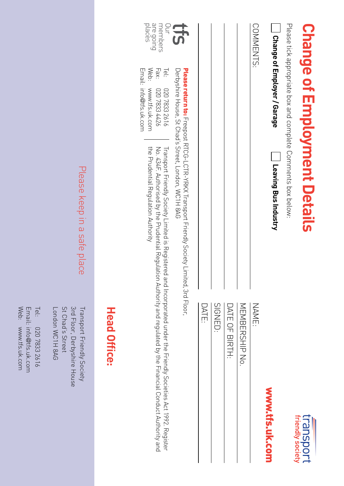| <b>Head Office:</b>                                                                                                                      |                                                                                                                                                          | Email: info@tfs.uk.com                                                |                                     |
|------------------------------------------------------------------------------------------------------------------------------------------|----------------------------------------------------------------------------------------------------------------------------------------------------------|-----------------------------------------------------------------------|-------------------------------------|
| Transport Friendy Society Limited is Registered and Incorporated under the Friendy Societies Act 1992. Register<br>Conduct Authority and | the Prudential Regulation Authority<br>No. 434F. Authorised by the Prudential Regulation Authority and regulated by the Financial                        | Web: www.tfs.uk.com<br>Fax:<br>Tel:<br>020 7833 2616<br>9717 833 4426 | places<br>sie going<br>members<br>g |
|                                                                                                                                          | Derbyshire House, 2t Chad's Street, London, NVC1H 8AG<br><b>Please return to:</b> Freepost RTCG-LCTR-YRKX Transport Friendly Society Limited, 3rd Floor, |                                                                       | <b>CS</b>                           |
| DATE:                                                                                                                                    |                                                                                                                                                          |                                                                       |                                     |
| SIGNED:                                                                                                                                  |                                                                                                                                                          |                                                                       |                                     |
| DATE OF BIRTH:                                                                                                                           |                                                                                                                                                          |                                                                       |                                     |
| MEMBERSHIP No.                                                                                                                           |                                                                                                                                                          |                                                                       |                                     |
| NAME:                                                                                                                                    |                                                                                                                                                          |                                                                       | COMMENTS:                           |
| www.tfs.uk.com                                                                                                                           | <b>Leaving Bus Industry</b>                                                                                                                              | Ohange of Employer / Garage                                           |                                     |
|                                                                                                                                          | Please tick appropriate box and complete Comments box below:                                                                                             |                                                                       |                                     |
| <b>transport</b><br>friendly society                                                                                                     | <b>Change of Employment Details</b>                                                                                                                      |                                                                       |                                     |
|                                                                                                                                          |                                                                                                                                                          |                                                                       |                                     |

# Please keep in a safe place Please keep in a safe place

Transport Friendly Society<br>3rd Floor, Derbyshire House London WC1H 8AG St Chad's Street St Chad's Street 3rd Floor, Derbyshire House Transport Friendly Society London WC1H 8AG

Tel: 020 7833 2616 020 7833 2616 Email: info@tfs.uk.com Web: www.tfs.uk.com www.tfs.uk.com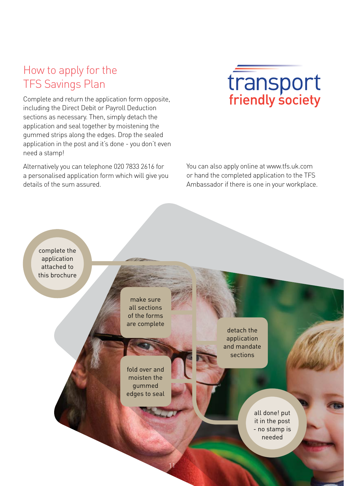# How to apply for the TFS Savings Plan

Complete and return the application form opposite, including the Direct Debit or Payroll Deduction sections as necessary. Then, simply detach the application and seal together by moistening the gummed strips along the edges. Drop the sealed application in the post and it's done - you don't even need a stamp!

Alternatively you can telephone 020 7833 2616 for a personalised application form which will give you details of the sum assured.



You can also apply online at www.tfs.uk.com or hand the completed application to the TFS Ambassador if there is one in your workplace.

complete the application attached to this brochure

> make sure all sections of the forms are complete

fold over and moisten the gummed edges to seal

11

detach the application and mandate sections

> all done! put it in the post - no stamp is needed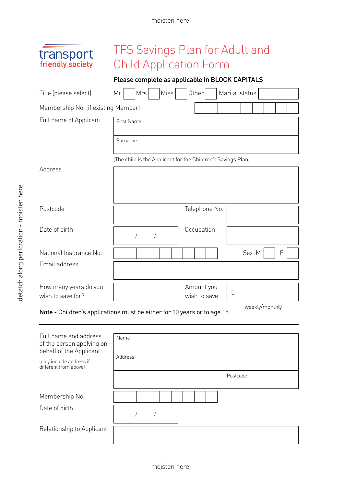#### moisten here

# transport<br>friendly society

# TFS Savings Plan for Adult and Child Application Form

### Please complete as applicable in BLOCK CAPITALS

| Title (please select)                      | Miss<br>Mrs<br>Mr                                            | Other                      | Marital status |       |                |   |  |
|--------------------------------------------|--------------------------------------------------------------|----------------------------|----------------|-------|----------------|---|--|
| Membership No. (if existing Member)        |                                                              |                            |                |       |                |   |  |
| Full name of Applicant                     | <b>First Name</b>                                            |                            |                |       |                |   |  |
|                                            | Surname                                                      |                            |                |       |                |   |  |
|                                            | (The child is the Applicant for the Children's Savings Plan) |                            |                |       |                |   |  |
| Address                                    |                                                              |                            |                |       |                |   |  |
|                                            |                                                              |                            |                |       |                |   |  |
| Postcode                                   |                                                              | Telephone No.              |                |       |                |   |  |
| Date of birth                              | 1                                                            | Occupation                 |                |       |                |   |  |
| National Insurance No.                     |                                                              |                            |                | Sex M |                | F |  |
| Email address                              |                                                              |                            |                |       |                |   |  |
| How many years do you<br>wish to save for? |                                                              | Amount you<br>wish to save | £              |       | wookly/monthly |   |  |

weekly/monthly Note - Children's applications must be either for 10 years or to age 18.

| Full name and address<br>of the person applying on<br>behalf of the Applicant<br>(only include address if<br>different from abovel | Name<br>Address<br>Postcode |
|------------------------------------------------------------------------------------------------------------------------------------|-----------------------------|
| Membership No.<br>Date of birth                                                                                                    |                             |
| Relationship to Applicant                                                                                                          |                             |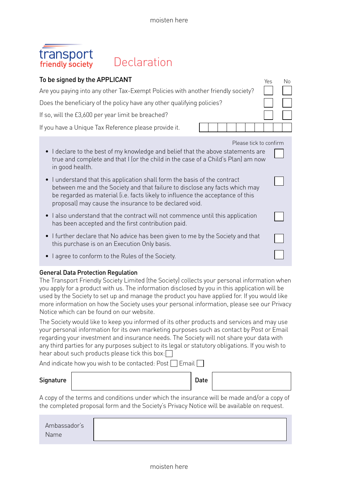# transport<br>friendly society

# Declaration

| To be signed by the APPLICANT                                                                                                                                                                                                                                                                      | Yes | No |
|----------------------------------------------------------------------------------------------------------------------------------------------------------------------------------------------------------------------------------------------------------------------------------------------------|-----|----|
| Are you paying into any other Tax-Exempt Policies with another friendly society?                                                                                                                                                                                                                   |     |    |
| Does the beneficiary of the policy have any other qualifying policies?                                                                                                                                                                                                                             |     |    |
| If so, will the £3,600 per year limit be breached?                                                                                                                                                                                                                                                 |     |    |
| If you have a Unique Tax Reference please provide it.                                                                                                                                                                                                                                              |     |    |
| Please tick to confirm<br>• I declare to the best of my knowledge and belief that the above statements are<br>true and complete and that I (or the child in the case of a Child's Plan) am now<br>in good health.                                                                                  |     |    |
| I understand that this application shall form the basis of the contract<br>between me and the Society and that failure to disclose any facts which may<br>be regarded as material (i.e. facts likely to influence the acceptance of this<br>proposal) may cause the insurance to be declared void. |     |    |
| I also understand that the contract will not commence until this application<br>has been accepted and the first contribution paid.                                                                                                                                                                 |     |    |
| . I further declare that No advice has been given to me by the Society and that<br>this purchase is on an Execution Only basis.                                                                                                                                                                    |     |    |
| • I agree to conform to the Rules of the Society.                                                                                                                                                                                                                                                  |     |    |

#### General Data Protection Regulation

The Transport Friendly Society Limited (the Society) collects your personal information when you apply for a product with us. The information disclosed by you in this application will be used by the Society to set up and manage the product you have applied for. If you would like more information on how the Society uses your personal information, please see our Privacy Notice which can be found on our website.

The Society would like to keep you informed of its other products and services and may use your personal information for its own marketing purposes such as contact by Post or Email regarding your investment and insurance needs. The Society will not share your data with any third parties for any purposes subject to its legal or statutory obligations. If you wish to hear about such products please tick this box:  $\Box$ 

And indicate how you wish to be contacted: Post  $\Box$  Email  $\Box$ 

| Signature | Date |
|-----------|------|
|-----------|------|

| ۰.<br>$\sim$ |
|--------------|
|--------------|

A copy of the terms and conditions under which the insurance will be made and/or a copy of the completed proposal form and the Society's Privacy Notice will be available on request.

| Ambassador's |  |
|--------------|--|
| Name         |  |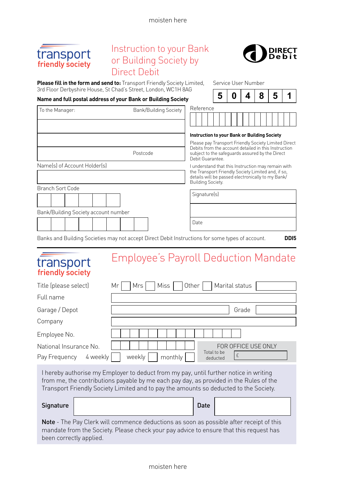moisten here



transport friandly cociaty

# Instruction to your Bank or Building Society by Direct Debit



Service User Number

**Please fill in the form and send to:** Transport Friendly Society Limited, 3rd Floor Derbyshire

| Reference<br>Instruction to your Bank or Building Society<br>Please pay Transport Friendly Society Limited Direct<br>Debits from the account detailed in this Instruction.<br>subject to the safeguards assured by the Direct<br>Debit Guarantee |              |  |  |                                                                                                  |  |
|--------------------------------------------------------------------------------------------------------------------------------------------------------------------------------------------------------------------------------------------------|--------------|--|--|--------------------------------------------------------------------------------------------------|--|
|                                                                                                                                                                                                                                                  |              |  |  |                                                                                                  |  |
|                                                                                                                                                                                                                                                  |              |  |  |                                                                                                  |  |
|                                                                                                                                                                                                                                                  |              |  |  |                                                                                                  |  |
|                                                                                                                                                                                                                                                  |              |  |  |                                                                                                  |  |
|                                                                                                                                                                                                                                                  |              |  |  |                                                                                                  |  |
| I understand that this Instruction may remain with<br>the Transport Friendly Society Limited and, if so,<br>details will be passed electronically to my Bank/<br>Building Society.                                                               |              |  |  |                                                                                                  |  |
|                                                                                                                                                                                                                                                  |              |  |  |                                                                                                  |  |
|                                                                                                                                                                                                                                                  |              |  |  |                                                                                                  |  |
|                                                                                                                                                                                                                                                  |              |  |  |                                                                                                  |  |
|                                                                                                                                                                                                                                                  |              |  |  |                                                                                                  |  |
|                                                                                                                                                                                                                                                  | Signature(s) |  |  | Banks and Building Societies may not accept Direct Debit Instructions for some types of account. |  |

# Employee's Payroll Deduction Mandate

| 1.1511517222551517        |                                                    |
|---------------------------|----------------------------------------------------|
| Title (please select)     | Other<br>  Miss  <br>Marital status<br>Mrs I<br>Mr |
| Full name                 |                                                    |
| Garage / Depot            | Grade                                              |
| Company                   |                                                    |
| Employee No.              |                                                    |
| National Insurance No.    | FOR OFFICE USE ONLY<br>Total to be                 |
| 4 weekly<br>Pay Frequency | weekly<br>monthly<br>deducted                      |
|                           |                                                    |

I hereby authorise my Employer to deduct from my pay, until further notice in writing from me, the contributions payable by me each pay day, as provided in the Rules of the Transport Friendly Society Limited and to pay the amounts so deducted to the Society.

| Signature |  | Date |
|-----------|--|------|
|-----------|--|------|

Note - The Pay Clerk will commence deductions as soon as possible after receipt of this mandate from the Society. Please check your pay advice to ensure that this request has been correctly applied.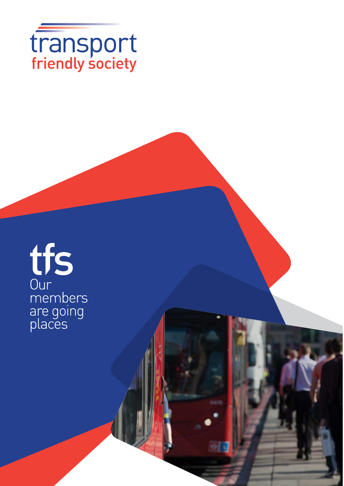

# tfs<br>
Our<br>
members<br>
are going<br>
places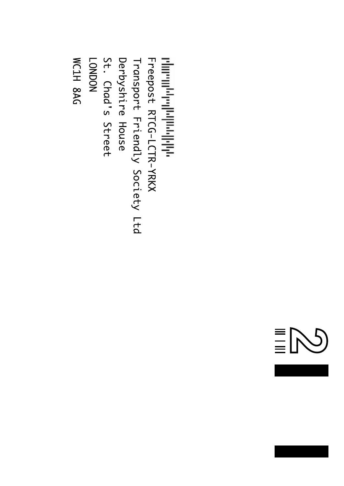

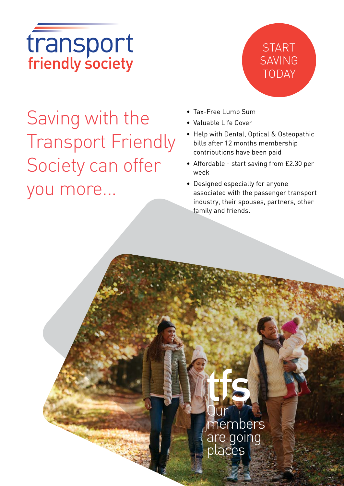# transport<br>friendly society

# START SAVING TODAY

Saving with the Transport Friendly Society can offer you more...

- Tax-Free Lump Sum
- Valuable Life Cover
- Help with Dental, Optical & Osteopathic bills after 12 months membership contributions have been paid
- Affordable start saving from £2.30 per week
- Designed especially for anyone associated with the passenger transport industry, their spouses, partners, other family and friends.

# members are going places